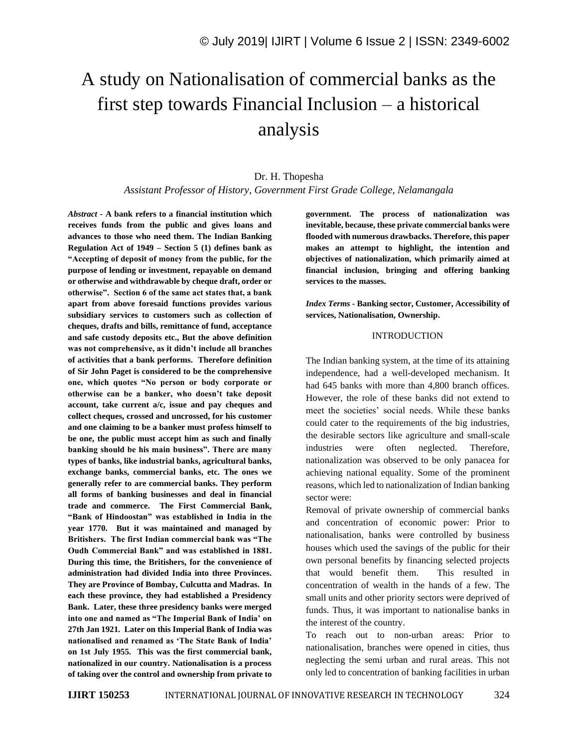# A study on Nationalisation of commercial banks as the first step towards Financial Inclusion – a historical analysis

# Dr. H. Thopesha *Assistant Professor of History, Government First Grade College, Nelamangala*

*Abstract -* **A bank refers to a financial institution which receives funds from the public and gives loans and advances to those who need them. The Indian Banking Regulation Act of 1949 – Section 5 (1) defines bank as "Accepting of deposit of money from the public, for the purpose of lending or investment, repayable on demand or otherwise and withdrawable by cheque draft, order or otherwise". Section 6 of the same act states that, a bank apart from above foresaid functions provides various subsidiary services to customers such as collection of cheques, drafts and bills, remittance of fund, acceptance and safe custody deposits etc., But the above definition was not comprehensive, as it didn't include all branches of activities that a bank performs. Therefore definition of Sir John Paget is considered to be the comprehensive one, which quotes "No person or body corporate or otherwise can be a banker, who doesn't take deposit account, take current a/c, issue and pay cheques and collect cheques, crossed and uncrossed, for his customer and one claiming to be a banker must profess himself to be one, the public must accept him as such and finally banking should be his main business". There are many types of banks, like industrial banks, agricultural banks, exchange banks, commercial banks, etc. The ones we generally refer to are commercial banks. They perform all forms of banking businesses and deal in financial trade and commerce. The First Commercial Bank, "Bank of Hindoostan" was established in India in the year 1770. But it was maintained and managed by Britishers. The first Indian commercial bank was "The Oudh Commercial Bank" and was established in 1881. During this time, the Britishers, for the convenience of administration had divided India into three Provinces. They are Province of Bombay, Culcutta and Madras. In each these province, they had established a Presidency Bank. Later, these three presidency banks were merged into one and named as "The Imperial Bank of India' on 27th Jan 1921. Later on this Imperial Bank of India was nationalised and renamed as 'The State Bank of India' on 1st July 1955. This was the first commercial bank, nationalized in our country. Nationalisation is a process of taking over the control and ownership from private to** 

**government. The process of nationalization was inevitable, because, these private commercial banks were flooded with numerous drawbacks. Therefore, this paper makes an attempt to highlight, the intention and objectives of nationalization, which primarily aimed at financial inclusion, bringing and offering banking services to the masses.**

*Index Terms -* **Banking sector, Customer, Accessibility of services, Nationalisation, Ownership.**

#### INTRODUCTION

The Indian banking system, at the time of its attaining independence, had a well-developed mechanism. It had 645 banks with more than 4,800 branch offices. However, the role of these banks did not extend to meet the societies' social needs. While these banks could cater to the requirements of the big industries, the desirable sectors like agriculture and small-scale industries were often neglected. Therefore, nationalization was observed to be only panacea for achieving national equality. Some of the prominent reasons, which led to nationalization of Indian banking sector were:

Removal of private ownership of commercial banks and concentration of economic power: Prior to nationalisation, banks were controlled by business houses which used the savings of the public for their own personal benefits by financing selected projects that would benefit them. This resulted in concentration of wealth in the hands of a few. The small units and other priority sectors were deprived of funds. Thus, it was important to nationalise banks in the interest of the country.

To reach out to non-urban areas: Prior to nationalisation, branches were opened in cities, thus neglecting the semi urban and rural areas. This not only led to concentration of banking facilities in urban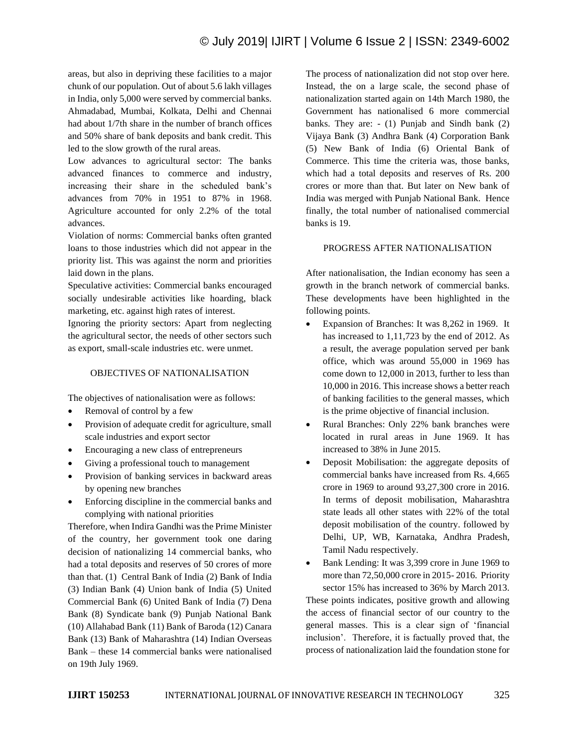areas, but also in depriving these facilities to a major chunk of our population. Out of about 5.6 lakh villages in India, only 5,000 were served by commercial banks. Ahmadabad, Mumbai, Kolkata, Delhi and Chennai had about 1/7th share in the number of branch offices and 50% share of bank deposits and bank credit. This led to the slow growth of the rural areas.

Low advances to agricultural sector: The banks advanced finances to commerce and industry, increasing their share in the scheduled bank's advances from 70% in 1951 to 87% in 1968. Agriculture accounted for only 2.2% of the total advances.

Violation of norms: Commercial banks often granted loans to those industries which did not appear in the priority list. This was against the norm and priorities laid down in the plans.

Speculative activities: Commercial banks encouraged socially undesirable activities like hoarding, black marketing, etc. against high rates of interest.

Ignoring the priority sectors: Apart from neglecting the agricultural sector, the needs of other sectors such as export, small-scale industries etc. were unmet.

### OBJECTIVES OF NATIONALISATION

The objectives of nationalisation were as follows:

- Removal of control by a few
- Provision of adequate credit for agriculture, small scale industries and export sector
- Encouraging a new class of entrepreneurs
- Giving a professional touch to management
- Provision of banking services in backward areas by opening new branches
- Enforcing discipline in the commercial banks and complying with national priorities

Therefore, when Indira Gandhi was the Prime Minister of the country, her government took one daring decision of nationalizing 14 commercial banks, who had a total deposits and reserves of 50 crores of more than that. (1) Central Bank of India (2) Bank of India (3) Indian Bank (4) Union bank of India (5) United Commercial Bank (6) United Bank of India (7) Dena Bank (8) Syndicate bank (9) Punjab National Bank (10) Allahabad Bank (11) Bank of Baroda (12) Canara Bank (13) Bank of Maharashtra (14) Indian Overseas Bank – these 14 commercial banks were nationalised on 19th July 1969.

The process of nationalization did not stop over here. Instead, the on a large scale, the second phase of nationalization started again on 14th March 1980, the Government has nationalised 6 more commercial banks. They are: - (1) Punjab and Sindh bank (2) Vijaya Bank (3) Andhra Bank (4) Corporation Bank (5) New Bank of India (6) Oriental Bank of Commerce. This time the criteria was, those banks, which had a total deposits and reserves of Rs. 200 crores or more than that. But later on New bank of India was merged with Punjab National Bank. Hence finally, the total number of nationalised commercial banks is 19.

#### PROGRESS AFTER NATIONALISATION

After nationalisation, the Indian economy has seen a growth in the branch network of commercial banks. These developments have been highlighted in the following points.

- Expansion of Branches: It was 8,262 in 1969. It has increased to 1,11,723 by the end of 2012. As a result, the average population served per bank office, which was around 55,000 in 1969 has come down to 12,000 in 2013, further to less than 10,000 in 2016. This increase shows a better reach of banking facilities to the general masses, which is the prime objective of financial inclusion.
- Rural Branches: Only 22% bank branches were located in rural areas in June 1969. It has increased to 38% in June 2015.
- Deposit Mobilisation: the aggregate deposits of commercial banks have increased from Rs. 4,665 crore in 1969 to around 93,27,300 crore in 2016. In terms of deposit mobilisation, Maharashtra state leads all other states with 22% of the total deposit mobilisation of the country. followed by Delhi, UP, WB, Karnataka, Andhra Pradesh, Tamil Nadu respectively.
- Bank Lending: It was 3,399 crore in June 1969 to more than 72,50,000 crore in 2015- 2016. Priority sector 15% has increased to 36% by March 2013.

These points indicates, positive growth and allowing the access of financial sector of our country to the general masses. This is a clear sign of 'financial inclusion'. Therefore, it is factually proved that, the process of nationalization laid the foundation stone for